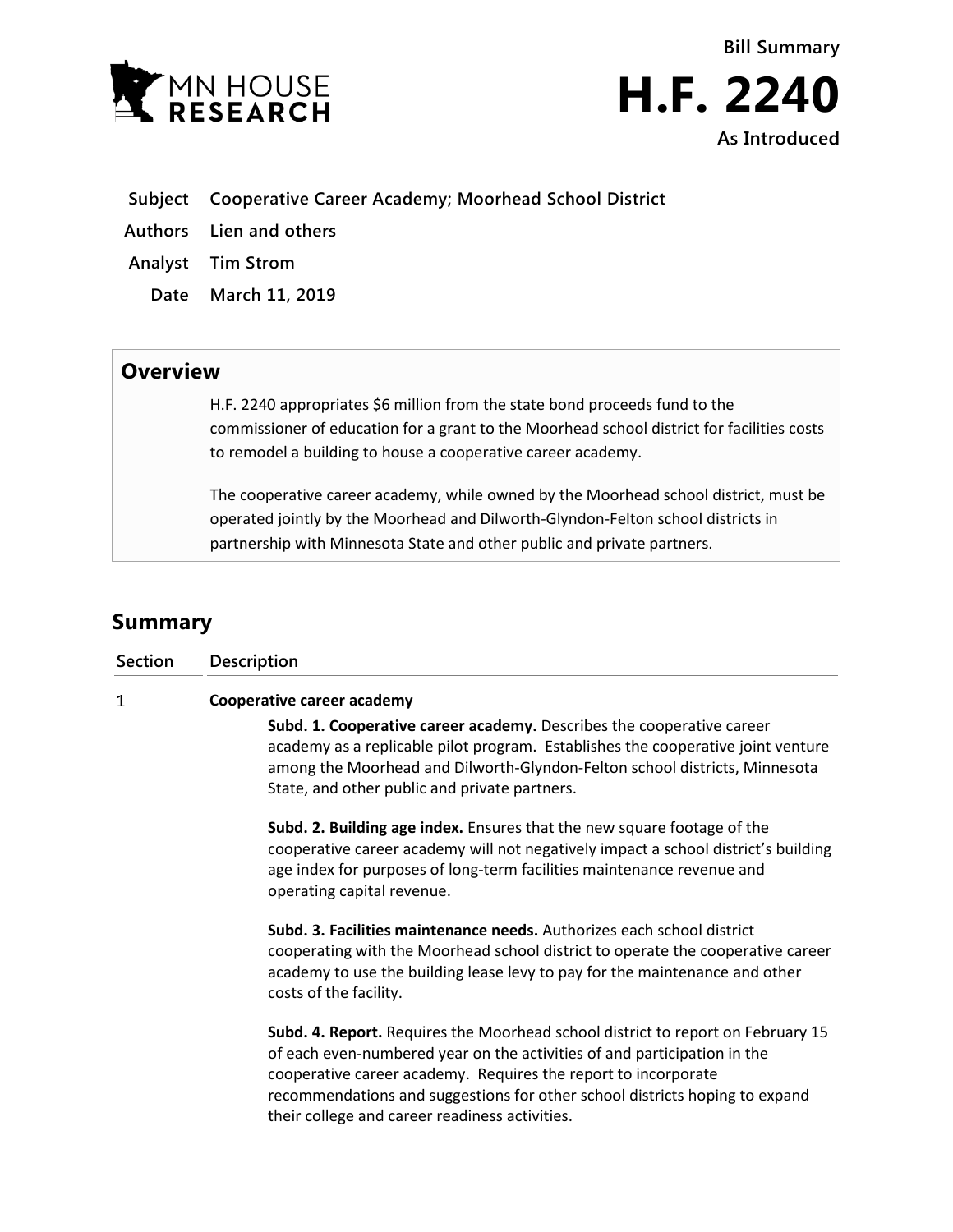



- **Subject Cooperative Career Academy; Moorhead School District**
- **Authors Lien and others**
- **Analyst Tim Strom**
	- **Date March 11, 2019**

## **Overview**

H.F. 2240 appropriates \$6 million from the state bond proceeds fund to the commissioner of education for a grant to the Moorhead school district for facilities costs to remodel a building to house a cooperative career academy.

The cooperative career academy, while owned by the Moorhead school district, must be operated jointly by the Moorhead and Dilworth-Glyndon-Felton school districts in partnership with Minnesota State and other public and private partners.

## **Summary**

| Section | <b>Description</b>                                                                                                                                                                                                                                                                                                                                             |
|---------|----------------------------------------------------------------------------------------------------------------------------------------------------------------------------------------------------------------------------------------------------------------------------------------------------------------------------------------------------------------|
| 1       | Cooperative career academy                                                                                                                                                                                                                                                                                                                                     |
|         | Subd. 1. Cooperative career academy. Describes the cooperative career<br>academy as a replicable pilot program. Establishes the cooperative joint venture<br>among the Moorhead and Dilworth-Glyndon-Felton school districts, Minnesota<br>State, and other public and private partners.                                                                       |
|         | Subd. 2. Building age index. Ensures that the new square footage of the<br>cooperative career academy will not negatively impact a school district's building<br>age index for purposes of long-term facilities maintenance revenue and<br>operating capital revenue.                                                                                          |
|         | Subd. 3. Facilities maintenance needs. Authorizes each school district<br>cooperating with the Moorhead school district to operate the cooperative career<br>academy to use the building lease levy to pay for the maintenance and other<br>costs of the facility.                                                                                             |
|         | Subd. 4. Report. Requires the Moorhead school district to report on February 15<br>of each even-numbered year on the activities of and participation in the<br>cooperative career academy. Requires the report to incorporate<br>recommendations and suggestions for other school districts hoping to expand<br>their college and career readiness activities. |